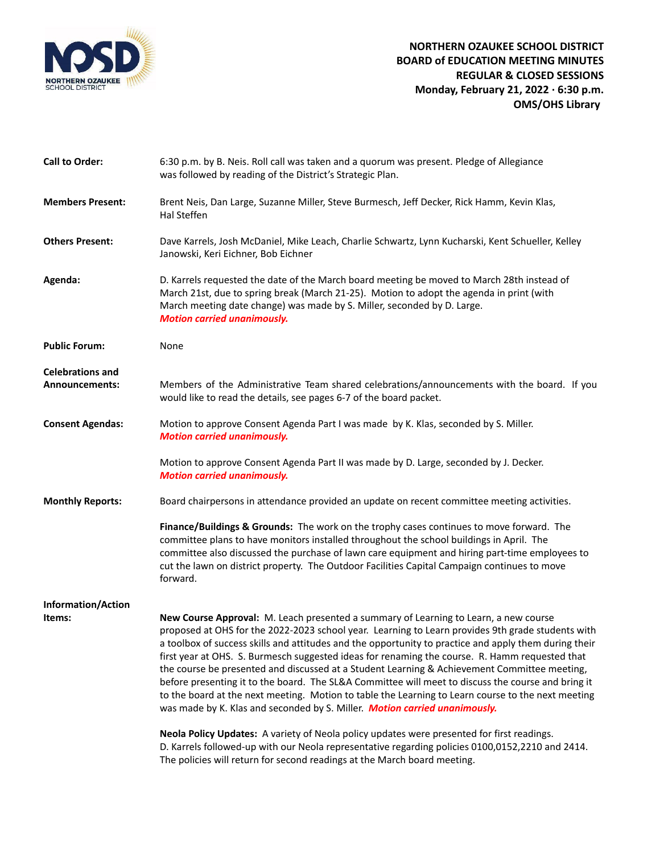

| <b>Call to Order:</b>                            | 6:30 p.m. by B. Neis. Roll call was taken and a quorum was present. Pledge of Allegiance<br>was followed by reading of the District's Strategic Plan.                                                                                                                                                                                                                                                                                                                                                                                                                                                                                                                                                                                                                                          |
|--------------------------------------------------|------------------------------------------------------------------------------------------------------------------------------------------------------------------------------------------------------------------------------------------------------------------------------------------------------------------------------------------------------------------------------------------------------------------------------------------------------------------------------------------------------------------------------------------------------------------------------------------------------------------------------------------------------------------------------------------------------------------------------------------------------------------------------------------------|
| <b>Members Present:</b>                          | Brent Neis, Dan Large, Suzanne Miller, Steve Burmesch, Jeff Decker, Rick Hamm, Kevin Klas,<br>Hal Steffen                                                                                                                                                                                                                                                                                                                                                                                                                                                                                                                                                                                                                                                                                      |
| <b>Others Present:</b>                           | Dave Karrels, Josh McDaniel, Mike Leach, Charlie Schwartz, Lynn Kucharski, Kent Schueller, Kelley<br>Janowski, Keri Eichner, Bob Eichner                                                                                                                                                                                                                                                                                                                                                                                                                                                                                                                                                                                                                                                       |
| Agenda:                                          | D. Karrels requested the date of the March board meeting be moved to March 28th instead of<br>March 21st, due to spring break (March 21-25). Motion to adopt the agenda in print (with<br>March meeting date change) was made by S. Miller, seconded by D. Large.<br><b>Motion carried unanimously.</b>                                                                                                                                                                                                                                                                                                                                                                                                                                                                                        |
| <b>Public Forum:</b>                             | None                                                                                                                                                                                                                                                                                                                                                                                                                                                                                                                                                                                                                                                                                                                                                                                           |
| <b>Celebrations and</b><br><b>Announcements:</b> | Members of the Administrative Team shared celebrations/announcements with the board. If you<br>would like to read the details, see pages 6-7 of the board packet.                                                                                                                                                                                                                                                                                                                                                                                                                                                                                                                                                                                                                              |
| <b>Consent Agendas:</b>                          | Motion to approve Consent Agenda Part I was made by K. Klas, seconded by S. Miller.<br><b>Motion carried unanimously.</b>                                                                                                                                                                                                                                                                                                                                                                                                                                                                                                                                                                                                                                                                      |
|                                                  | Motion to approve Consent Agenda Part II was made by D. Large, seconded by J. Decker.<br><b>Motion carried unanimously.</b>                                                                                                                                                                                                                                                                                                                                                                                                                                                                                                                                                                                                                                                                    |
| <b>Monthly Reports:</b>                          | Board chairpersons in attendance provided an update on recent committee meeting activities.                                                                                                                                                                                                                                                                                                                                                                                                                                                                                                                                                                                                                                                                                                    |
|                                                  | Finance/Buildings & Grounds: The work on the trophy cases continues to move forward. The<br>committee plans to have monitors installed throughout the school buildings in April. The<br>committee also discussed the purchase of lawn care equipment and hiring part-time employees to<br>cut the lawn on district property. The Outdoor Facilities Capital Campaign continues to move<br>forward.                                                                                                                                                                                                                                                                                                                                                                                             |
| <b>Information/Action</b>                        |                                                                                                                                                                                                                                                                                                                                                                                                                                                                                                                                                                                                                                                                                                                                                                                                |
| Items:                                           | New Course Approval: M. Leach presented a summary of Learning to Learn, a new course<br>proposed at OHS for the 2022-2023 school year. Learning to Learn provides 9th grade students with<br>a toolbox of success skills and attitudes and the opportunity to practice and apply them during their<br>first year at OHS. S. Burmesch suggested ideas for renaming the course. R. Hamm requested that<br>the course be presented and discussed at a Student Learning & Achievement Committee meeting,<br>before presenting it to the board. The SL&A Committee will meet to discuss the course and bring it<br>to the board at the next meeting. Motion to table the Learning to Learn course to the next meeting<br>was made by K. Klas and seconded by S. Miller. Motion carried unanimously. |
|                                                  | Neola Policy Updates: A variety of Neola policy updates were presented for first readings.<br>D. Karrels followed-up with our Neola representative regarding policies 0100,0152,2210 and 2414.<br>The policies will return for second readings at the March board meeting.                                                                                                                                                                                                                                                                                                                                                                                                                                                                                                                     |